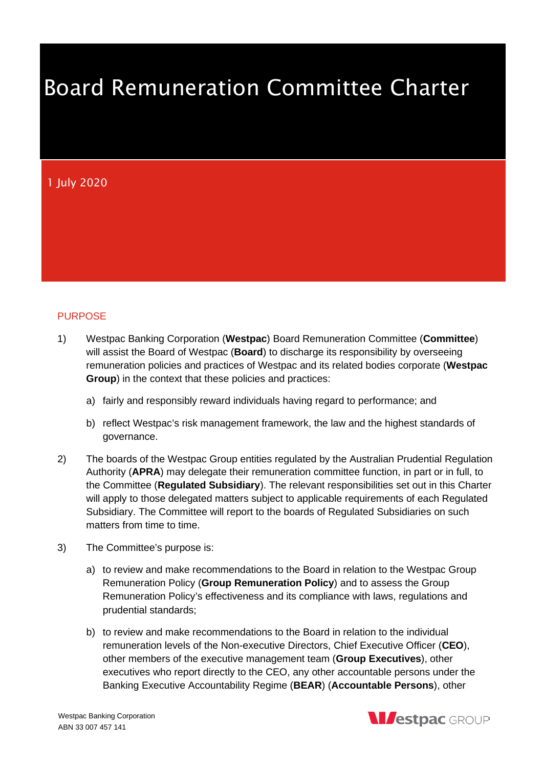# Board Remuneration Committee Charter

# 1 July 2020

# PURPOSE

- 1) Westpac Banking Corporation (**Westpac**) Board Remuneration Committee (**Committee**) will assist the Board of Westpac (**Board**) to discharge its responsibility by overseeing remuneration policies and practices of Westpac and its related bodies corporate (**Westpac Group**) in the context that these policies and practices:
	- a) fairly and responsibly reward individuals having regard to performance; and
	- b) reflect Westpac's risk management framework, the law and the highest standards of governance.
- 2) The boards of the Westpac Group entities regulated by the Australian Prudential Regulation Authority (**APRA**) may delegate their remuneration committee function, in part or in full, to the Committee (**Regulated Subsidiary**). The relevant responsibilities set out in this Charter will apply to those delegated matters subject to applicable requirements of each Regulated Subsidiary. The Committee will report to the boards of Regulated Subsidiaries on such matters from time to time.
- 3) The Committee's purpose is:
	- a) to review and make recommendations to the Board in relation to the Westpac Group Remuneration Policy (**Group Remuneration Policy**) and to assess the Group Remuneration Policy's effectiveness and its compliance with laws, regulations and prudential standards;
	- b) to review and make recommendations to the Board in relation to the individual remuneration levels of the Non-executive Directors, Chief Executive Officer (**CEO**), other members of the executive management team (**Group Executives**), other executives who report directly to the CEO, any other accountable persons under the Banking Executive Accountability Regime (**BEAR**) (**Accountable Persons**), other

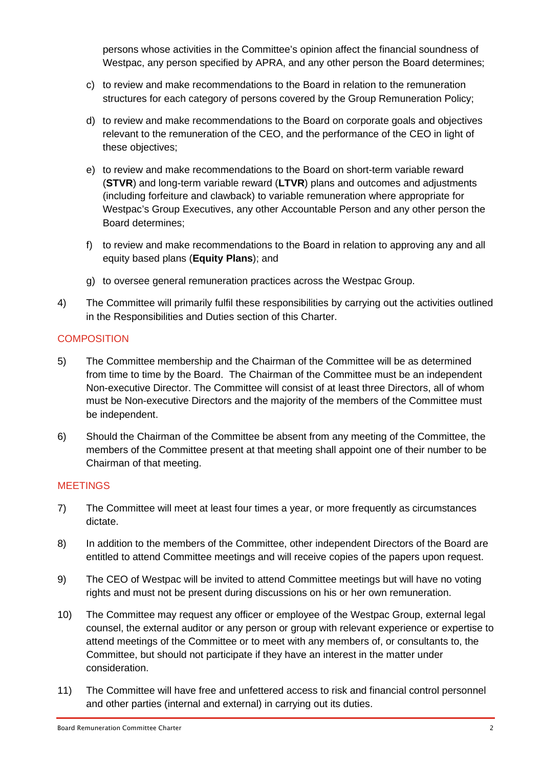persons whose activities in the Committee's opinion affect the financial soundness of Westpac, any person specified by APRA, and any other person the Board determines;

- c) to review and make recommendations to the Board in relation to the remuneration structures for each category of persons covered by the Group Remuneration Policy;
- d) to review and make recommendations to the Board on corporate goals and objectives relevant to the remuneration of the CEO, and the performance of the CEO in light of these objectives;
- e) to review and make recommendations to the Board on short-term variable reward (**STVR**) and long-term variable reward (**LTVR**) plans and outcomes and adjustments (including forfeiture and clawback) to variable remuneration where appropriate for Westpac's Group Executives, any other Accountable Person and any other person the Board determines;
- f) to review and make recommendations to the Board in relation to approving any and all equity based plans (**Equity Plans**); and
- g) to oversee general remuneration practices across the Westpac Group.
- 4) The Committee will primarily fulfil these responsibilities by carrying out the activities outlined in the Responsibilities and Duties section of this Charter.

# **COMPOSITION**

- 5) The Committee membership and the Chairman of the Committee will be as determined from time to time by the Board. The Chairman of the Committee must be an independent Non-executive Director. The Committee will consist of at least three Directors, all of whom must be Non-executive Directors and the majority of the members of the Committee must be independent.
- 6) Should the Chairman of the Committee be absent from any meeting of the Committee, the members of the Committee present at that meeting shall appoint one of their number to be Chairman of that meeting.

#### **MEETINGS**

- 7) The Committee will meet at least four times a year, or more frequently as circumstances dictate.
- 8) In addition to the members of the Committee, other independent Directors of the Board are entitled to attend Committee meetings and will receive copies of the papers upon request.
- 9) The CEO of Westpac will be invited to attend Committee meetings but will have no voting rights and must not be present during discussions on his or her own remuneration.
- 10) The Committee may request any officer or employee of the Westpac Group, external legal counsel, the external auditor or any person or group with relevant experience or expertise to attend meetings of the Committee or to meet with any members of, or consultants to, the Committee, but should not participate if they have an interest in the matter under consideration.
- 11) The Committee will have free and unfettered access to risk and financial control personnel and other parties (internal and external) in carrying out its duties.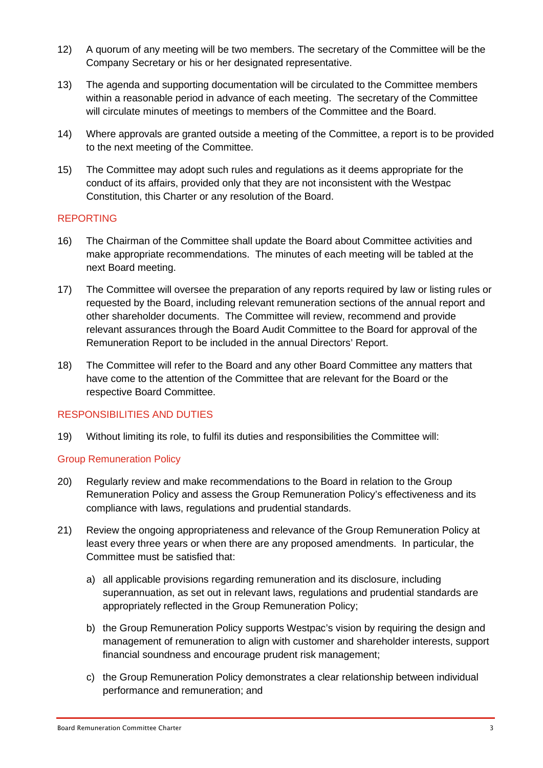- 12) A quorum of any meeting will be two members. The secretary of the Committee will be the Company Secretary or his or her designated representative.
- 13) The agenda and supporting documentation will be circulated to the Committee members within a reasonable period in advance of each meeting. The secretary of the Committee will circulate minutes of meetings to members of the Committee and the Board.
- 14) Where approvals are granted outside a meeting of the Committee, a report is to be provided to the next meeting of the Committee.
- 15) The Committee may adopt such rules and regulations as it deems appropriate for the conduct of its affairs, provided only that they are not inconsistent with the Westpac Constitution, this Charter or any resolution of the Board.

# REPORTING

- 16) The Chairman of the Committee shall update the Board about Committee activities and make appropriate recommendations. The minutes of each meeting will be tabled at the next Board meeting.
- 17) The Committee will oversee the preparation of any reports required by law or listing rules or requested by the Board, including relevant remuneration sections of the annual report and other shareholder documents. The Committee will review, recommend and provide relevant assurances through the Board Audit Committee to the Board for approval of the Remuneration Report to be included in the annual Directors' Report.
- 18) The Committee will refer to the Board and any other Board Committee any matters that have come to the attention of the Committee that are relevant for the Board or the respective Board Committee.

# RESPONSIBILITIES AND DUTIES

19) Without limiting its role, to fulfil its duties and responsibilities the Committee will:

# Group Remuneration Policy

- 20) Regularly review and make recommendations to the Board in relation to the Group Remuneration Policy and assess the Group Remuneration Policy's effectiveness and its compliance with laws, regulations and prudential standards.
- 21) Review the ongoing appropriateness and relevance of the Group Remuneration Policy at least every three years or when there are any proposed amendments. In particular, the Committee must be satisfied that:
	- a) all applicable provisions regarding remuneration and its disclosure, including superannuation, as set out in relevant laws, regulations and prudential standards are appropriately reflected in the Group Remuneration Policy;
	- b) the Group Remuneration Policy supports Westpac's vision by requiring the design and management of remuneration to align with customer and shareholder interests, support financial soundness and encourage prudent risk management;
	- c) the Group Remuneration Policy demonstrates a clear relationship between individual performance and remuneration; and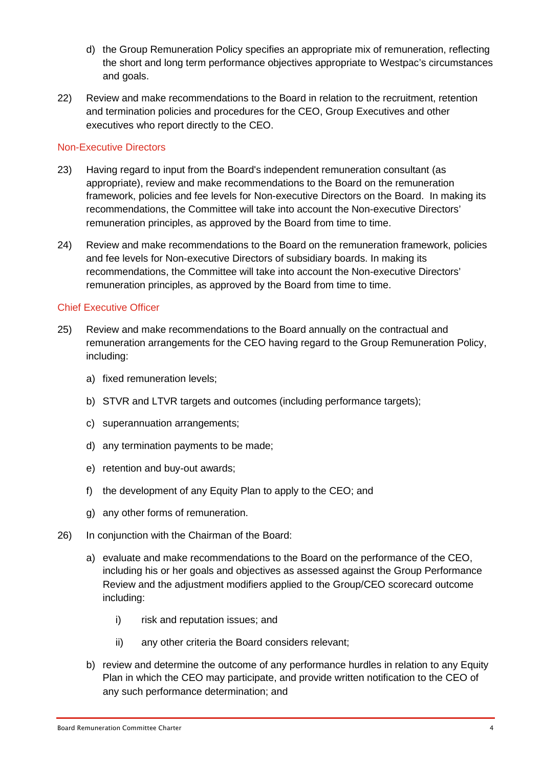- d) the Group Remuneration Policy specifies an appropriate mix of remuneration, reflecting the short and long term performance objectives appropriate to Westpac's circumstances and goals.
- 22) Review and make recommendations to the Board in relation to the recruitment, retention and termination policies and procedures for the CEO, Group Executives and other executives who report directly to the CEO.

#### Non-Executive Directors

- 23) Having regard to input from the Board's independent remuneration consultant (as appropriate), review and make recommendations to the Board on the remuneration framework, policies and fee levels for Non-executive Directors on the Board. In making its recommendations, the Committee will take into account the Non-executive Directors' remuneration principles, as approved by the Board from time to time.
- 24) Review and make recommendations to the Board on the remuneration framework, policies and fee levels for Non-executive Directors of subsidiary boards. In making its recommendations, the Committee will take into account the Non-executive Directors' remuneration principles, as approved by the Board from time to time.

#### Chief Executive Officer

- 25) Review and make recommendations to the Board annually on the contractual and remuneration arrangements for the CEO having regard to the Group Remuneration Policy, including:
	- a) fixed remuneration levels;
	- b) STVR and LTVR targets and outcomes (including performance targets);
	- c) superannuation arrangements;
	- d) any termination payments to be made;
	- e) retention and buy-out awards;
	- f) the development of any Equity Plan to apply to the CEO; and
	- g) any other forms of remuneration.
- 26) In conjunction with the Chairman of the Board:
	- a) evaluate and make recommendations to the Board on the performance of the CEO, including his or her goals and objectives as assessed against the Group Performance Review and the adjustment modifiers applied to the Group/CEO scorecard outcome including:
		- i) risk and reputation issues; and
		- ii) any other criteria the Board considers relevant;
	- b) review and determine the outcome of any performance hurdles in relation to any Equity Plan in which the CEO may participate, and provide written notification to the CEO of any such performance determination; and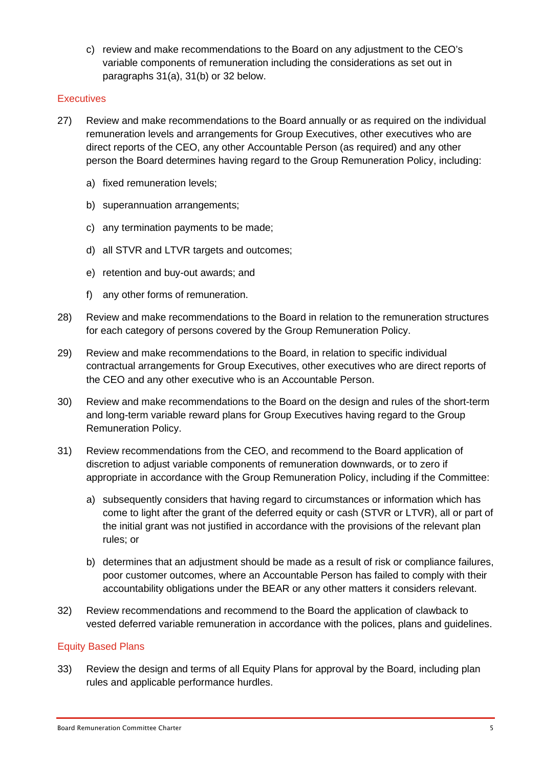c) review and make recommendations to the Board on any adjustment to the CEO's variable components of remuneration including the considerations as set out in paragraphs 31(a), 31(b) or 32 below.

# **Executives**

- 27) Review and make recommendations to the Board annually or as required on the individual remuneration levels and arrangements for Group Executives, other executives who are direct reports of the CEO, any other Accountable Person (as required) and any other person the Board determines having regard to the Group Remuneration Policy, including:
	- a) fixed remuneration levels;
	- b) superannuation arrangements:
	- c) any termination payments to be made;
	- d) all STVR and LTVR targets and outcomes;
	- e) retention and buy-out awards; and
	- f) any other forms of remuneration.
- 28) Review and make recommendations to the Board in relation to the remuneration structures for each category of persons covered by the Group Remuneration Policy.
- 29) Review and make recommendations to the Board, in relation to specific individual contractual arrangements for Group Executives, other executives who are direct reports of the CEO and any other executive who is an Accountable Person.
- 30) Review and make recommendations to the Board on the design and rules of the short-term and long-term variable reward plans for Group Executives having regard to the Group Remuneration Policy.
- 31) Review recommendations from the CEO, and recommend to the Board application of discretion to adjust variable components of remuneration downwards, or to zero if appropriate in accordance with the Group Remuneration Policy, including if the Committee:
	- a) subsequently considers that having regard to circumstances or information which has come to light after the grant of the deferred equity or cash (STVR or LTVR), all or part of the initial grant was not justified in accordance with the provisions of the relevant plan rules; or
	- b) determines that an adjustment should be made as a result of risk or compliance failures, poor customer outcomes, where an Accountable Person has failed to comply with their accountability obligations under the BEAR or any other matters it considers relevant.
- 32) Review recommendations and recommend to the Board the application of clawback to vested deferred variable remuneration in accordance with the polices, plans and guidelines.

#### Equity Based Plans

33) Review the design and terms of all Equity Plans for approval by the Board, including plan rules and applicable performance hurdles.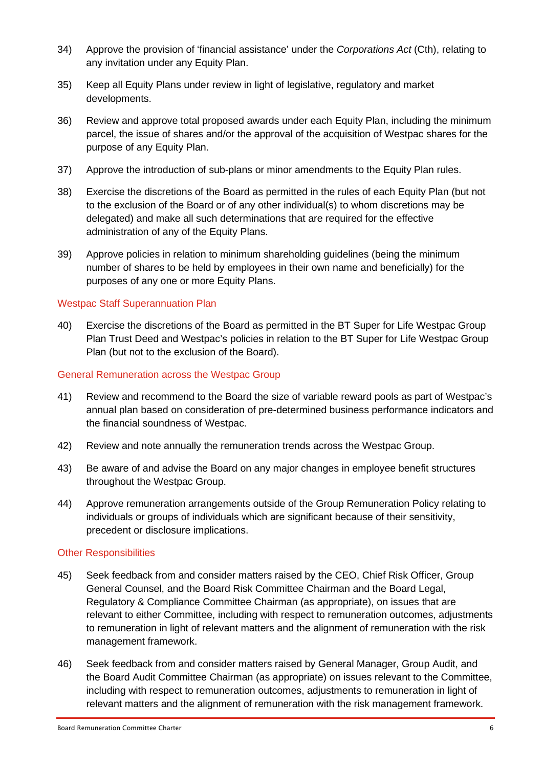- 34) Approve the provision of 'financial assistance' under the *Corporations Act* (Cth), relating to any invitation under any Equity Plan.
- 35) Keep all Equity Plans under review in light of legislative, regulatory and market developments.
- 36) Review and approve total proposed awards under each Equity Plan, including the minimum parcel, the issue of shares and/or the approval of the acquisition of Westpac shares for the purpose of any Equity Plan.
- 37) Approve the introduction of sub-plans or minor amendments to the Equity Plan rules.
- 38) Exercise the discretions of the Board as permitted in the rules of each Equity Plan (but not to the exclusion of the Board or of any other individual(s) to whom discretions may be delegated) and make all such determinations that are required for the effective administration of any of the Equity Plans.
- 39) Approve policies in relation to minimum shareholding guidelines (being the minimum number of shares to be held by employees in their own name and beneficially) for the purposes of any one or more Equity Plans.

# Westpac Staff Superannuation Plan

40) Exercise the discretions of the Board as permitted in the BT Super for Life Westpac Group Plan Trust Deed and Westpac's policies in relation to the BT Super for Life Westpac Group Plan (but not to the exclusion of the Board).

#### General Remuneration across the Westpac Group

- 41) Review and recommend to the Board the size of variable reward pools as part of Westpac's annual plan based on consideration of pre-determined business performance indicators and the financial soundness of Westpac.
- 42) Review and note annually the remuneration trends across the Westpac Group.
- 43) Be aware of and advise the Board on any major changes in employee benefit structures throughout the Westpac Group.
- 44) Approve remuneration arrangements outside of the Group Remuneration Policy relating to individuals or groups of individuals which are significant because of their sensitivity, precedent or disclosure implications.

#### Other Responsibilities

- 45) Seek feedback from and consider matters raised by the CEO, Chief Risk Officer, Group General Counsel, and the Board Risk Committee Chairman and the Board Legal, Regulatory & Compliance Committee Chairman (as appropriate), on issues that are relevant to either Committee, including with respect to remuneration outcomes, adjustments to remuneration in light of relevant matters and the alignment of remuneration with the risk management framework.
- 46) Seek feedback from and consider matters raised by General Manager, Group Audit, and the Board Audit Committee Chairman (as appropriate) on issues relevant to the Committee, including with respect to remuneration outcomes, adjustments to remuneration in light of relevant matters and the alignment of remuneration with the risk management framework.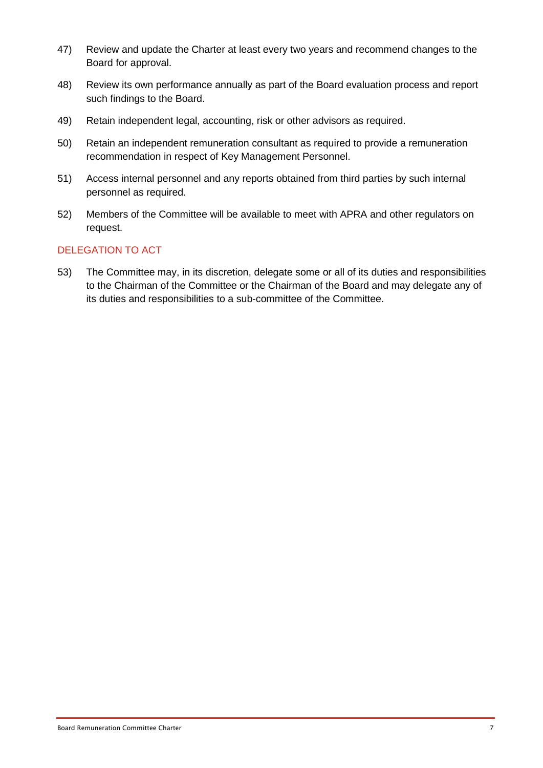- 47) Review and update the Charter at least every two years and recommend changes to the Board for approval.
- 48) Review its own performance annually as part of the Board evaluation process and report such findings to the Board.
- 49) Retain independent legal, accounting, risk or other advisors as required.
- 50) Retain an independent remuneration consultant as required to provide a remuneration recommendation in respect of Key Management Personnel.
- 51) Access internal personnel and any reports obtained from third parties by such internal personnel as required.
- 52) Members of the Committee will be available to meet with APRA and other regulators on request.

# DELEGATION TO ACT

53) The Committee may, in its discretion, delegate some or all of its duties and responsibilities to the Chairman of the Committee or the Chairman of the Board and may delegate any of its duties and responsibilities to a sub-committee of the Committee.